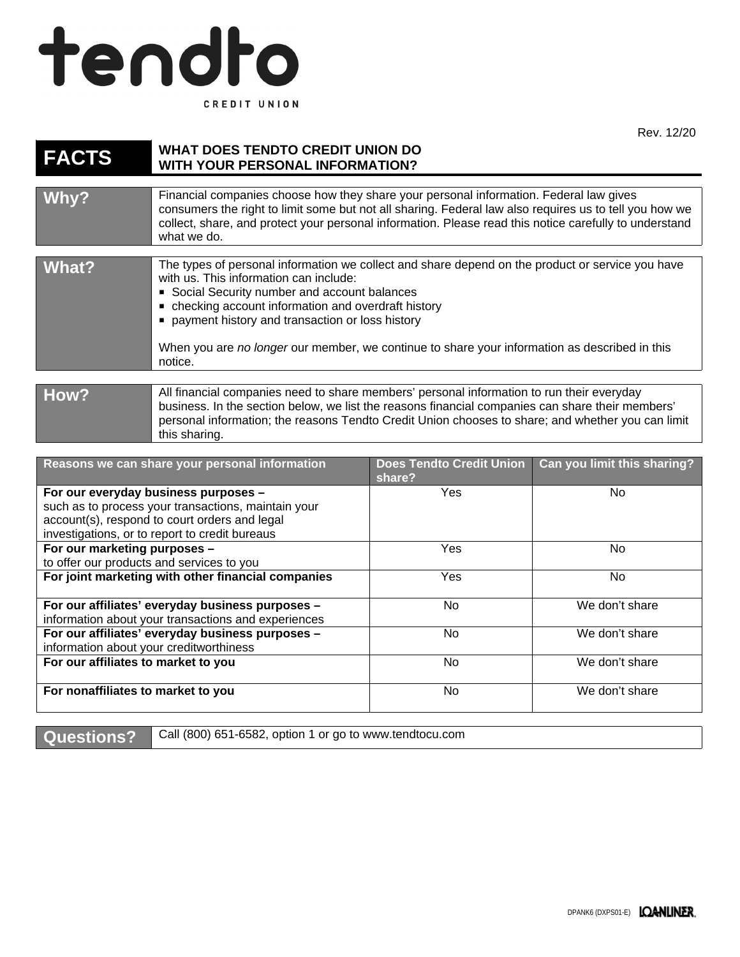## tendto CREDIT UNION

Rev. 12/20

| <b>FACTS</b>                                                                                                                                                                                   | <b>WHAT DOES TENDTO CREDIT UNION DO</b><br><b>WITH YOUR PERSONAL INFORMATION?</b>                                                                                                                                                                                                                                                                                                                                |                                    |                             |
|------------------------------------------------------------------------------------------------------------------------------------------------------------------------------------------------|------------------------------------------------------------------------------------------------------------------------------------------------------------------------------------------------------------------------------------------------------------------------------------------------------------------------------------------------------------------------------------------------------------------|------------------------------------|-----------------------------|
| Why?                                                                                                                                                                                           | Financial companies choose how they share your personal information. Federal law gives<br>consumers the right to limit some but not all sharing. Federal law also requires us to tell you how we<br>collect, share, and protect your personal information. Please read this notice carefully to understand<br>what we do.                                                                                        |                                    |                             |
| <b>What?</b>                                                                                                                                                                                   | The types of personal information we collect and share depend on the product or service you have<br>with us. This information can include:<br>Social Security number and account balances<br>• checking account information and overdraft history<br>payment history and transaction or loss history<br>When you are no longer our member, we continue to share your information as described in this<br>notice. |                                    |                             |
| How?                                                                                                                                                                                           | All financial companies need to share members' personal information to run their everyday<br>business. In the section below, we list the reasons financial companies can share their members'<br>personal information; the reasons Tendto Credit Union chooses to share; and whether you can limit<br>this sharing.                                                                                              |                                    |                             |
|                                                                                                                                                                                                | Reasons we can share your personal information                                                                                                                                                                                                                                                                                                                                                                   | Does Tendto Credit Union<br>share? | Can you limit this sharing? |
| For our everyday business purposes -<br>such as to process your transactions, maintain your<br>account(s), respond to court orders and legal<br>investigations, or to report to credit bureaus |                                                                                                                                                                                                                                                                                                                                                                                                                  | Yes                                | <b>No</b>                   |
| For our marketing purposes -<br>to offer our products and services to you                                                                                                                      |                                                                                                                                                                                                                                                                                                                                                                                                                  | Yes                                | <b>No</b>                   |
| For joint marketing with other financial companies                                                                                                                                             |                                                                                                                                                                                                                                                                                                                                                                                                                  | Yes                                | <b>No</b>                   |
| For our affiliates' everyday business purposes -<br>information about your transactions and experiences                                                                                        |                                                                                                                                                                                                                                                                                                                                                                                                                  | <b>No</b>                          | We don't share              |
| For our affiliates' everyday business purposes -<br>information about your creditworthiness                                                                                                    |                                                                                                                                                                                                                                                                                                                                                                                                                  | <b>No</b>                          | We don't share              |
| For our affiliates to market to you                                                                                                                                                            |                                                                                                                                                                                                                                                                                                                                                                                                                  | <b>No</b>                          | We don't share              |

Questions? Call (800) 651-6582, option 1 or go to www.tendtocu.com

**For nonaffiliates to market to you** No No We don't share